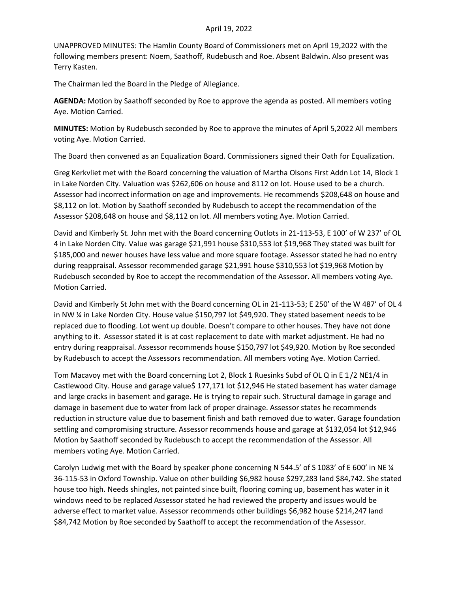## April 19, 2022

UNAPPROVED MINUTES: The Hamlin County Board of Commissioners met on April 19,2022 with the following members present: Noem, Saathoff, Rudebusch and Roe. Absent Baldwin. Also present was Terry Kasten.

The Chairman led the Board in the Pledge of Allegiance.

**AGENDA:** Motion by Saathoff seconded by Roe to approve the agenda as posted. All members voting Aye. Motion Carried.

**MINUTES:** Motion by Rudebusch seconded by Roe to approve the minutes of April 5,2022 All members voting Aye. Motion Carried.

The Board then convened as an Equalization Board. Commissioners signed their Oath for Equalization.

Greg Kerkvliet met with the Board concerning the valuation of Martha Olsons First Addn Lot 14, Block 1 in Lake Norden City. Valuation was \$262,606 on house and 8112 on lot. House used to be a church. Assessor had incorrect information on age and improvements. He recommends \$208,648 on house and \$8,112 on lot. Motion by Saathoff seconded by Rudebusch to accept the recommendation of the Assessor \$208,648 on house and \$8,112 on lot. All members voting Aye. Motion Carried.

David and Kimberly St. John met with the Board concerning Outlots in 21-113-53, E 100' of W 237' of OL 4 in Lake Norden City. Value was garage \$21,991 house \$310,553 lot \$19,968 They stated was built for \$185,000 and newer houses have less value and more square footage. Assessor stated he had no entry during reappraisal. Assessor recommended garage \$21,991 house \$310,553 lot \$19,968 Motion by Rudebusch seconded by Roe to accept the recommendation of the Assessor. All members voting Aye. Motion Carried.

David and Kimberly St John met with the Board concerning OL in 21-113-53; E 250' of the W 487' of OL 4 in NW ¼ in Lake Norden City. House value \$150,797 lot \$49,920. They stated basement needs to be replaced due to flooding. Lot went up double. Doesn't compare to other houses. They have not done anything to it. Assessor stated it is at cost replacement to date with market adjustment. He had no entry during reappraisal. Assessor recommends house \$150,797 lot \$49,920. Motion by Roe seconded by Rudebusch to accept the Assessors recommendation. All members voting Aye. Motion Carried.

Tom Macavoy met with the Board concerning Lot 2, Block 1 Ruesinks Subd of OL Q in E 1/2 NE1/4 in Castlewood City. House and garage value\$ 177,171 lot \$12,946 He stated basement has water damage and large cracks in basement and garage. He is trying to repair such. Structural damage in garage and damage in basement due to water from lack of proper drainage. Assessor states he recommends reduction in structure value due to basement finish and bath removed due to water. Garage foundation settling and compromising structure. Assessor recommends house and garage at \$132,054 lot \$12,946 Motion by Saathoff seconded by Rudebusch to accept the recommendation of the Assessor. All members voting Aye. Motion Carried.

Carolyn Ludwig met with the Board by speaker phone concerning N 544.5' of S 1083' of E 600' in NE ¼ 36-115-53 in Oxford Township. Value on other building \$6,982 house \$297,283 land \$84,742. She stated house too high. Needs shingles, not painted since built, flooring coming up, basement has water in it windows need to be replaced Assessor stated he had reviewed the property and issues would be adverse effect to market value. Assessor recommends other buildings \$6,982 house \$214,247 land \$84,742 Motion by Roe seconded by Saathoff to accept the recommendation of the Assessor.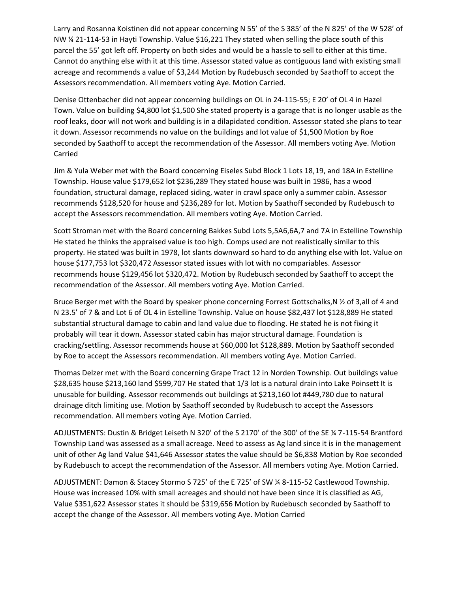Larry and Rosanna Koistinen did not appear concerning N 55' of the S 385' of the N 825' of the W 528' of NW ¼ 21-114-53 in Hayti Township. Value \$16,221 They stated when selling the place south of this parcel the 55' got left off. Property on both sides and would be a hassle to sell to either at this time. Cannot do anything else with it at this time. Assessor stated value as contiguous land with existing small acreage and recommends a value of \$3,244 Motion by Rudebusch seconded by Saathoff to accept the Assessors recommendation. All members voting Aye. Motion Carried.

Denise Ottenbacher did not appear concerning buildings on OL in 24-115-55; E 20' of OL 4 in Hazel Town. Value on building \$4,800 lot \$1,500 She stated property is a garage that is no longer usable as the roof leaks, door will not work and building is in a dilapidated condition. Assessor stated she plans to tear it down. Assessor recommends no value on the buildings and lot value of \$1,500 Motion by Roe seconded by Saathoff to accept the recommendation of the Assessor. All members voting Aye. Motion Carried

Jim & Yula Weber met with the Board concerning Eiseles Subd Block 1 Lots 18,19, and 18A in Estelline Township. House value \$179,652 lot \$236,289 They stated house was built in 1986, has a wood foundation, structural damage, replaced siding, water in crawl space only a summer cabin. Assessor recommends \$128,520 for house and \$236,289 for lot. Motion by Saathoff seconded by Rudebusch to accept the Assessors recommendation. All members voting Aye. Motion Carried.

Scott Stroman met with the Board concerning Bakkes Subd Lots 5,5A6,6A,7 and 7A in Estelline Township He stated he thinks the appraised value is too high. Comps used are not realistically similar to this property. He stated was built in 1978, lot slants downward so hard to do anything else with lot. Value on house \$177,753 lot \$320,472 Assessor stated issues with lot with no compariables. Assessor recommends house \$129,456 lot \$320,472. Motion by Rudebusch seconded by Saathoff to accept the recommendation of the Assessor. All members voting Aye. Motion Carried.

Bruce Berger met with the Board by speaker phone concerning Forrest Gottschalks,N 1/2 of 3,all of 4 and N 23.5' of 7 & and Lot 6 of OL 4 in Estelline Township. Value on house \$82,437 lot \$128,889 He stated substantial structural damage to cabin and land value due to flooding. He stated he is not fixing it probably will tear it down. Assessor stated cabin has major structural damage. Foundation is cracking/settling. Assessor recommends house at \$60,000 lot \$128,889. Motion by Saathoff seconded by Roe to accept the Assessors recommendation. All members voting Aye. Motion Carried.

Thomas Delzer met with the Board concerning Grape Tract 12 in Norden Township. Out buildings value \$28,635 house \$213,160 land \$599,707 He stated that 1/3 lot is a natural drain into Lake Poinsett It is unusable for building. Assessor recommends out buildings at \$213,160 lot #449,780 due to natural drainage ditch limiting use. Motion by Saathoff seconded by Rudebusch to accept the Assessors recommendation. All members voting Aye. Motion Carried.

ADJUSTMENTS: Dustin & Bridget Leiseth N 320' of the S 2170' of the 300' of the SE ¼ 7-115-54 Brantford Township Land was assessed as a small acreage. Need to assess as Ag land since it is in the management unit of other Ag land Value \$41,646 Assessor states the value should be \$6,838 Motion by Roe seconded by Rudebusch to accept the recommendation of the Assessor. All members voting Aye. Motion Carried.

ADJUSTMENT: Damon & Stacey Stormo S 725' of the E 725' of SW ¼ 8-115-52 Castlewood Township. House was increased 10% with small acreages and should not have been since it is classified as AG, Value \$351,622 Assessor states it should be \$319,656 Motion by Rudebusch seconded by Saathoff to accept the change of the Assessor. All members voting Aye. Motion Carried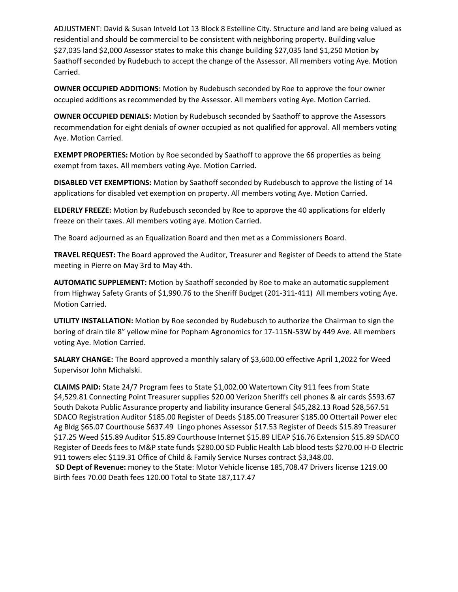ADJUSTMENT: David & Susan Intveld Lot 13 Block 8 Estelline City. Structure and land are being valued as residential and should be commercial to be consistent with neighboring property. Building value \$27,035 land \$2,000 Assessor states to make this change building \$27,035 land \$1,250 Motion by Saathoff seconded by Rudebuch to accept the change of the Assessor. All members voting Aye. Motion Carried.

**OWNER OCCUPIED ADDITIONS:** Motion by Rudebusch seconded by Roe to approve the four owner occupied additions as recommended by the Assessor. All members voting Aye. Motion Carried.

**OWNER OCCUPIED DENIALS:** Motion by Rudebusch seconded by Saathoff to approve the Assessors recommendation for eight denials of owner occupied as not qualified for approval. All members voting Aye. Motion Carried.

**EXEMPT PROPERTIES:** Motion by Roe seconded by Saathoff to approve the 66 properties as being exempt from taxes. All members voting Aye. Motion Carried.

**DISABLED VET EXEMPTIONS:** Motion by Saathoff seconded by Rudebusch to approve the listing of 14 applications for disabled vet exemption on property. All members voting Aye. Motion Carried.

**ELDERLY FREEZE:** Motion by Rudebusch seconded by Roe to approve the 40 applications for elderly freeze on their taxes. All members voting aye. Motion Carried.

The Board adjourned as an Equalization Board and then met as a Commissioners Board.

**TRAVEL REQUEST:** The Board approved the Auditor, Treasurer and Register of Deeds to attend the State meeting in Pierre on May 3rd to May 4th.

**AUTOMATIC SUPPLEMENT:** Motion by Saathoff seconded by Roe to make an automatic supplement from Highway Safety Grants of \$1,990.76 to the Sheriff Budget (201-311-411) All members voting Aye. Motion Carried.

**UTILITY INSTALLATION:** Motion by Roe seconded by Rudebusch to authorize the Chairman to sign the boring of drain tile 8" yellow mine for Popham Agronomics for 17-115N-53W by 449 Ave. All members voting Aye. Motion Carried.

**SALARY CHANGE:** The Board approved a monthly salary of \$3,600.00 effective April 1,2022 for Weed Supervisor John Michalski.

**CLAIMS PAID:** State 24/7 Program fees to State \$1,002.00 Watertown City 911 fees from State \$4,529.81 Connecting Point Treasurer supplies \$20.00 Verizon Sheriffs cell phones & air cards \$593.67 South Dakota Public Assurance property and liability insurance General \$45,282.13 Road \$28,567.51 SDACO Registration Auditor \$185.00 Register of Deeds \$185.00 Treasurer \$185.00 Ottertail Power elec Ag Bldg \$65.07 Courthouse \$637.49 Lingo phones Assessor \$17.53 Register of Deeds \$15.89 Treasurer \$17.25 Weed \$15.89 Auditor \$15.89 Courthouse Internet \$15.89 LIEAP \$16.76 Extension \$15.89 SDACO Register of Deeds fees to M&P state funds \$280.00 SD Public Health Lab blood tests \$270.00 H-D Electric 911 towers elec \$119.31 Office of Child & Family Service Nurses contract \$3,348.00.

**SD Dept of Revenue:** money to the State: Motor Vehicle license 185,708.47 Drivers license 1219.00 Birth fees 70.00 Death fees 120.00 Total to State 187,117.47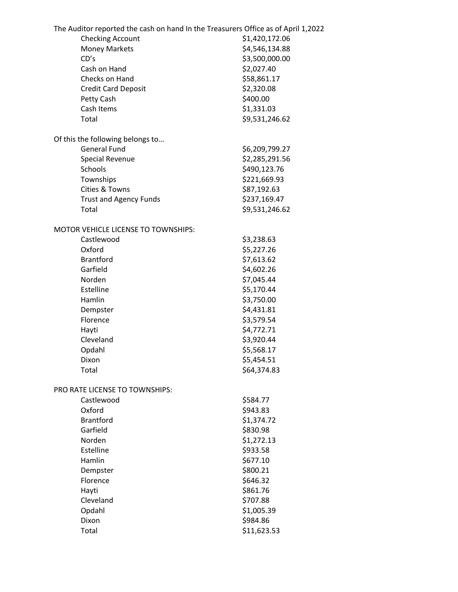| The Auditor reported the cash on hand In the Treasurers Office as of April 1,2022 |                |
|-----------------------------------------------------------------------------------|----------------|
| <b>Checking Account</b>                                                           | \$1,420,172.06 |
| <b>Money Markets</b>                                                              | \$4,546,134.88 |
| CD's                                                                              | \$3,500,000.00 |
| Cash on Hand                                                                      | \$2,027.40     |
| Checks on Hand                                                                    | \$58,861.17    |
| <b>Credit Card Deposit</b>                                                        | \$2,320.08     |
| Petty Cash                                                                        | \$400.00       |
| Cash Items                                                                        | \$1,331.03     |
| Total                                                                             | \$9,531,246.62 |
| Of this the following belongs to                                                  |                |
| <b>General Fund</b>                                                               | \$6,209,799.27 |
| <b>Special Revenue</b>                                                            | \$2,285,291.56 |
| Schools                                                                           | \$490,123.76   |
| Townships                                                                         | \$221,669.93   |
| Cities & Towns                                                                    | \$87,192.63    |
| <b>Trust and Agency Funds</b>                                                     | \$237,169.47   |
| Total                                                                             | \$9,531,246.62 |
| MOTOR VEHICLE LICENSE TO TOWNSHIPS:                                               |                |
| Castlewood                                                                        | \$3,238.63     |
| Oxford                                                                            | \$5,227.26     |
| <b>Brantford</b>                                                                  | \$7,613.62     |
| Garfield                                                                          | \$4,602.26     |
| Norden                                                                            | \$7,045.44     |
| Estelline                                                                         | \$5,170.44     |
| Hamlin                                                                            | \$3,750.00     |
| Dempster                                                                          | \$4,431.81     |
| Florence                                                                          | \$3,579.54     |
| Hayti                                                                             | \$4,772.71     |
| Cleveland                                                                         | \$3,920.44     |
| Opdahl                                                                            | \$5,568.17     |
| Dixon                                                                             | \$5,454.51     |
| Total                                                                             | \$64,374.83    |
|                                                                                   |                |
| PRO RATE LICENSE TO TOWNSHIPS:<br>Castlewood                                      | \$584.77       |
| Oxford                                                                            | \$943.83       |
| <b>Brantford</b>                                                                  | \$1,374.72     |
| Garfield                                                                          | \$830.98       |
| Norden                                                                            | \$1,272.13     |
| Estelline                                                                         |                |
| Hamlin                                                                            | \$933.58       |
|                                                                                   | \$677.10       |
| Dempster                                                                          | \$800.21       |
| Florence                                                                          | \$646.32       |
| Hayti                                                                             | \$861.76       |
| Cleveland                                                                         | \$707.88       |
| Opdahl                                                                            | \$1,005.39     |
| Dixon                                                                             | \$984.86       |
| Total                                                                             | \$11,623.53    |